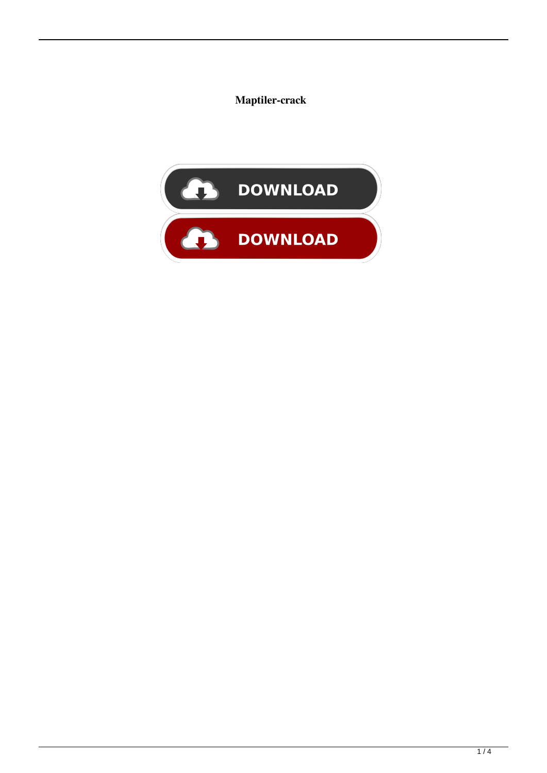Maptiler-crack

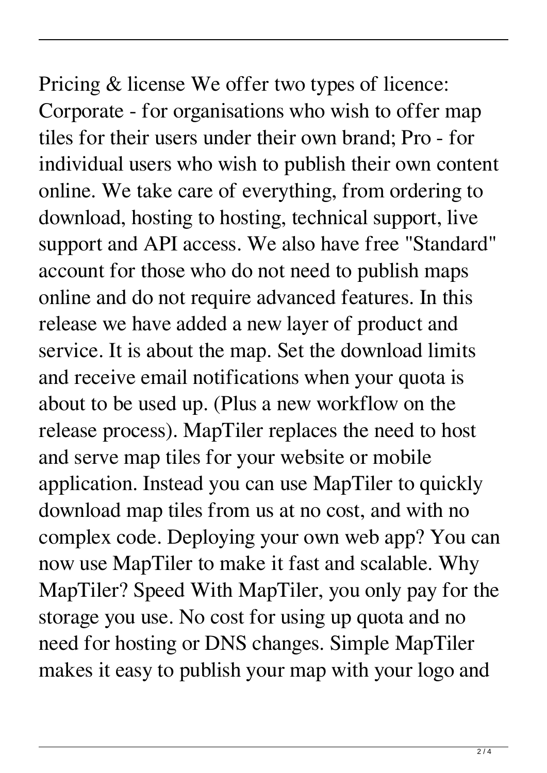Pricing & license We offer two types of licence: Corporate - for organisations who wish to offer map tiles for their users under their own brand; Pro - for individual users who wish to publish their own content online. We take care of everything, from ordering to download, hosting to hosting, technical support, live support and API access. We also have free "Standard" account for those who do not need to publish maps online and do not require advanced features. In this release we have added a new layer of product and service. It is about the map. Set the download limits and receive email notifications when your quota is about to be used up. (Plus a new workflow on the release process). MapTiler replaces the need to host and serve map tiles for your website or mobile application. Instead you can use MapTiler to quickly download map tiles from us at no cost, and with no complex code. Deploying your own web app? You can now use MapTiler to make it fast and scalable. Why MapTiler? Speed With MapTiler, you only pay for the storage you use. No cost for using up quota and no need for hosting or DNS changes. Simple MapTiler makes it easy to publish your map with your logo and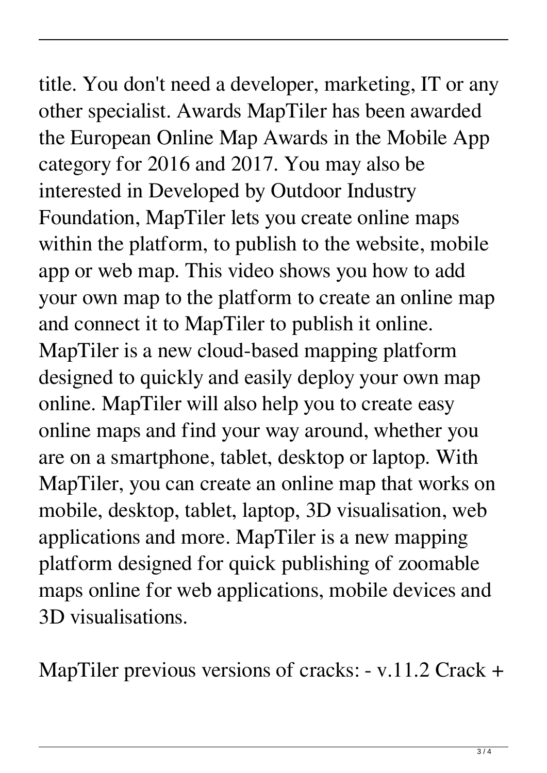title. You don't need a developer, marketing, IT or any other specialist. Awards MapTiler has been awarded the European Online Map Awards in the Mobile App category for 2016 and 2017. You may also be interested in Developed by Outdoor Industry Foundation, MapTiler lets you create online maps within the platform, to publish to the website, mobile app or web map. This video shows you how to add your own map to the platform to create an online map and connect it to MapTiler to publish it online. MapTiler is a new cloud-based mapping platform designed to quickly and easily deploy your own map online. MapTiler will also help you to create easy online maps and find your way around, whether you are on a smartphone, tablet, desktop or laptop. With MapTiler, you can create an online map that works on mobile, desktop, tablet, laptop, 3D visualisation, web applications and more. MapTiler is a new mapping platform designed for quick publishing of zoomable maps online for web applications, mobile devices and 3D visualisations.

MapTiler previous versions of cracks: - v.11.2 Crack +